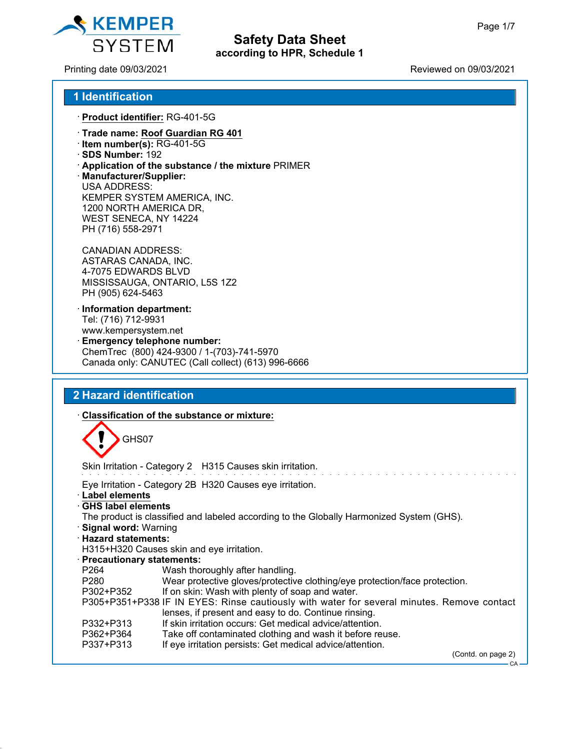

### Printing date 09/03/2021 Reviewed on 09/03/2021

### **1 Identification**

ꞏ **Product identifier:** RG-401-5G

- ꞏ **Trade name: Roof Guardian RG 401**
- ꞏ **Item number(s):** RG-401-5G
- ꞏ **SDS Number:** 192
- ꞏ **Application of the substance / the mixture** PRIMER
- ꞏ **Manufacturer/Supplier:** USA ADDRESS: KEMPER SYSTEM AMERICA, INC. 1200 NORTH AMERICA DR, WEST SENECA, NY 14224 PH (716) 558-2971

CANADIAN ADDRESS: ASTARAS CANADA, INC. 4-7075 EDWARDS BLVD MISSISSAUGA, ONTARIO, L5S 1Z2 PH (905) 624-5463

- ꞏ **Information department:** Tel: (716) 712-9931 www.kempersystem.net
- Emergency telephone number: ChemTrec (800) 424-9300 / 1-(703)-741-5970 Canada only: CANUTEC (Call collect) (613) 996-6666

### **2 Hazard identification**

#### ꞏ **Classification of the substance or mixture:**

GHS07

Skin Irritation - Category 2 H315 Causes skin irritation.

Eye Irritation - Category 2B H320 Causes eye irritation.

- ꞏ **Label elements**
- ꞏ **GHS label elements**
- The product is classified and labeled according to the Globally Harmonized System (GHS).

**Safety Data Sheet according to HPR, Schedule 1**

- ꞏ **Signal word:** Warning
- ꞏ **Hazard statements:**
- H315+H320 Causes skin and eye irritation.
- ꞏ **Precautionary statements:**
- P264 Wash thoroughly after handling.
- P280 Wear protective gloves/protective clothing/eye protection/face protection.
- P302+P352 If on skin: Wash with plenty of soap and water.

P305+P351+P338 IF IN EYES: Rinse cautiously with water for several minutes. Remove contact lenses, if present and easy to do. Continue rinsing.

- P332+P313 If skin irritation occurs: Get medical advice/attention.
- P362+P364 Take off contaminated clothing and wash it before reuse.
- P337+P313 If eye irritation persists: Get medical advice/attention.

(Contd. on page 2)

CA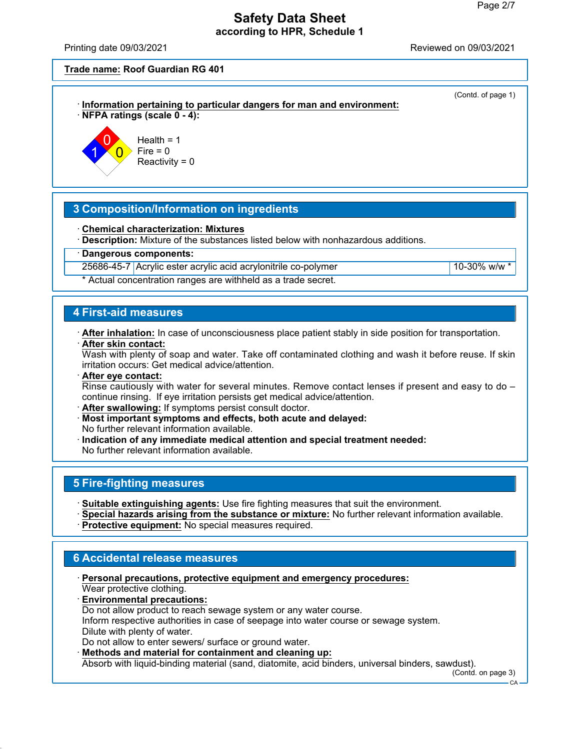(Contd. of page 1)

# **Safety Data Sheet according to HPR, Schedule 1**

Printing date 09/03/2021 Reviewed on 09/03/2021

**Trade name: Roof Guardian RG 401**





Health  $= 1$  $Fire = 0$ Reactivity  $= 0$ 

## **3 Composition/Information on ingredients**

ꞏ **Chemical characterization: Mixtures**

ꞏ **Description:** Mixture of the substances listed below with nonhazardous additions.

ꞏ **Dangerous components:**

25686-45-7 Acrylic ester acrylic acid acrylonitrile co-polymer 10-30% w/w  $\frac{10-30}{8}$  w/w

\* Actual concentration ranges are withheld as a trade secret.

### **4 First-aid measures**

ꞏ **After inhalation:** In case of unconsciousness place patient stably in side position for transportation. ꞏ **After skin contact:**

Wash with plenty of soap and water. Take off contaminated clothing and wash it before reuse. If skin irritation occurs: Get medical advice/attention.

- ꞏ **After eye contact:** Rinse cautiously with water for several minutes. Remove contact lenses if present and easy to do  $$ continue rinsing. If eye irritation persists get medical advice/attention.
- ꞏ **After swallowing:** If symptoms persist consult doctor.
- ꞏ **Most important symptoms and effects, both acute and delayed:**
- No further relevant information available.
- ꞏ **Indication of any immediate medical attention and special treatment needed:**

No further relevant information available.

## **5 Fire-fighting measures**

- ꞏ **Suitable extinguishing agents:** Use fire fighting measures that suit the environment.
- ꞏ **Special hazards arising from the substance or mixture:** No further relevant information available.
- ꞏ **Protective equipment:** No special measures required.

# **6 Accidental release measures**

- ꞏ **Personal precautions, protective equipment and emergency procedures:** Wear protective clothing.
- ꞏ **Environmental precautions:**
- Do not allow product to reach sewage system or any water course.

Inform respective authorities in case of seepage into water course or sewage system. Dilute with plenty of water.

Do not allow to enter sewers/ surface or ground water.

ꞏ **Methods and material for containment and cleaning up:**

Absorb with liquid-binding material (sand, diatomite, acid binders, universal binders, sawdust).

(Contd. on page 3)  $C_A$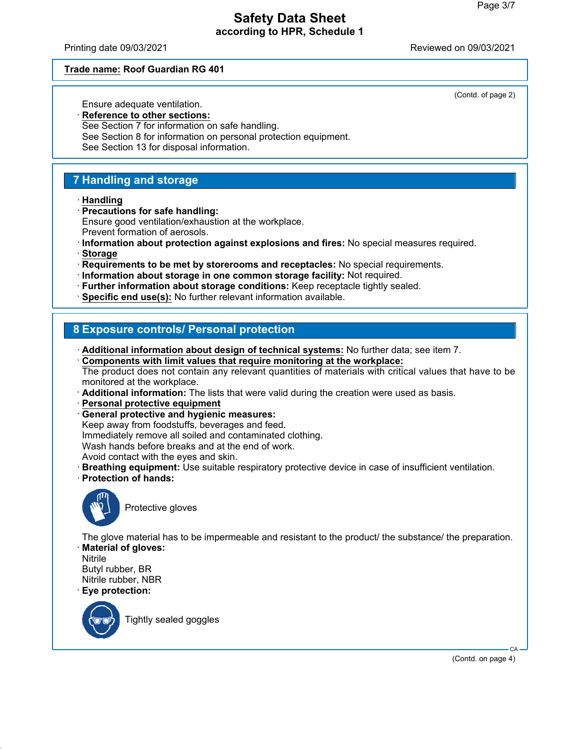Printing date 09/03/2021 Reviewed on 09/03/2021

### **Trade name: Roof Guardian RG 401**

Ensure adequate ventilation.

(Contd. of page 2)

ꞏ **Reference to other sections:** See Section 7 for information on safe handling. See Section 8 for information on personal protection equipment. See Section 13 for disposal information.

### **7 Handling and storage**

ꞏ **Handling**

ꞏ **Precautions for safe handling:**

Ensure good ventilation/exhaustion at the workplace.

- Prevent formation of aerosols.
- ꞏ **Information about protection against explosions and fires:** No special measures required.
- ꞏ **Storage**
- ꞏ **Requirements to be met by storerooms and receptacles:** No special requirements.
- ꞏ **Information about storage in one common storage facility:** Not required.
- ꞏ **Further information about storage conditions:** Keep receptacle tightly sealed.
- ꞏ **Specific end use(s):** No further relevant information available.

### **8 Exposure controls/ Personal protection**

ꞏ **Additional information about design of technical systems:** No further data; see item 7.

ꞏ **Components with limit values that require monitoring at the workplace:** The product does not contain any relevant quantities of materials with critical values that have to be monitored at the workplace.

- ꞏ **Additional information:** The lists that were valid during the creation were used as basis.
- ꞏ **Personal protective equipment**
- ꞏ **General protective and hygienic measures:**

Keep away from foodstuffs, beverages and feed.

Immediately remove all soiled and contaminated clothing.

Wash hands before breaks and at the end of work.

Avoid contact with the eyes and skin.

- ꞏ **Breathing equipment:** Use suitable respiratory protective device in case of insufficient ventilation.
- ꞏ **Protection of hands:**



Protective gloves

The glove material has to be impermeable and resistant to the product/ the substance/ the preparation. ꞏ **Material of gloves:**

Nitrile Butyl rubber, BR Nitrile rubber, NBR ꞏ **Eye protection:**



Tightly sealed goggles

(Contd. on page 4)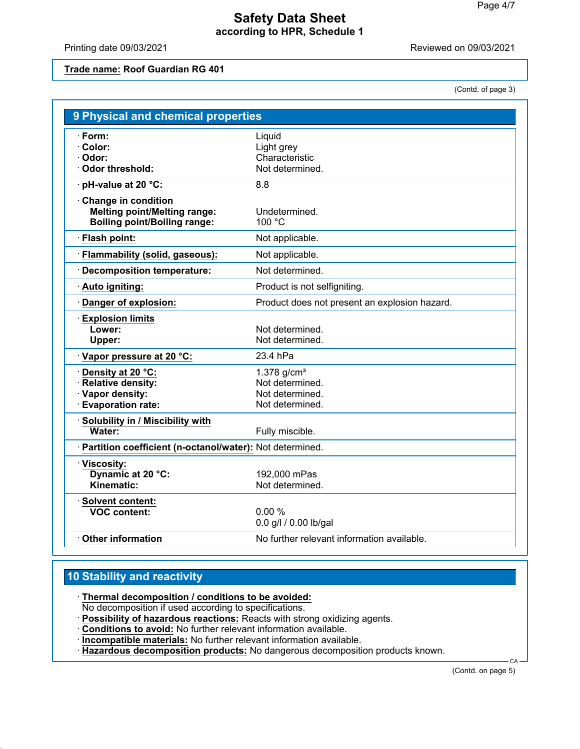Printing date 09/03/2021 **Printing date 09/03/2021** 

**Trade name: Roof Guardian RG 401**

(Contd. of page 3)

| 9 Physical and chemical properties                                                                       |                                                                        |
|----------------------------------------------------------------------------------------------------------|------------------------------------------------------------------------|
| · Form:<br>· Color:<br>· Odor:<br><b>Odor threshold:</b>                                                 | Liquid<br>Light grey<br>Characteristic<br>Not determined.              |
| pH-value at 20 °C:                                                                                       | 8.8                                                                    |
| <b>Change in condition</b><br><b>Melting point/Melting range:</b><br><b>Boiling point/Boiling range:</b> | Undetermined.<br>100 °C                                                |
| Flash point:                                                                                             | Not applicable.                                                        |
| Flammability (solid, gaseous):                                                                           | Not applicable.                                                        |
| <b>Decomposition temperature:</b>                                                                        | Not determined.                                                        |
| Auto igniting:                                                                                           | Product is not selfigniting.                                           |
| Danger of explosion:                                                                                     | Product does not present an explosion hazard.                          |
| <b>Explosion limits</b><br>Lower:<br>Upper:                                                              | Not determined.<br>Not determined.                                     |
| Vapor pressure at 20 °C:                                                                                 | 23.4 hPa                                                               |
| Density at 20 °C:<br><b>Relative density:</b><br>· Vapor density:<br><b>Evaporation rate:</b>            | 1.378 $g/cm3$<br>Not determined.<br>Not determined.<br>Not determined. |
| Solubility in / Miscibility with<br>Water:                                                               | Fully miscible.                                                        |
| · Partition coefficient (n-octanol/water): Not determined.                                               |                                                                        |
| Viscosity:<br>Dynamic at 20 °C:<br>Kinematic:                                                            | 192,000 mPas<br>Not determined.                                        |
| $\cdot$ Solvent content:<br><b>VOC content:</b>                                                          | 0.00%<br>0.0 g/l / 0.00 lb/gal                                         |
| <b>Other information</b>                                                                                 | No further relevant information available.                             |

## **10 Stability and reactivity**

ꞏ **Thermal decomposition / conditions to be avoided:**

No decomposition if used according to specifications.

ꞏ **Possibility of hazardous reactions:** Reacts with strong oxidizing agents.

ꞏ **Conditions to avoid:** No further relevant information available.

ꞏ **Incompatible materials:** No further relevant information available.

 $\cdot$  **Hazardous decomposition products:** No dangerous decomposition products known.

(Contd. on page 5)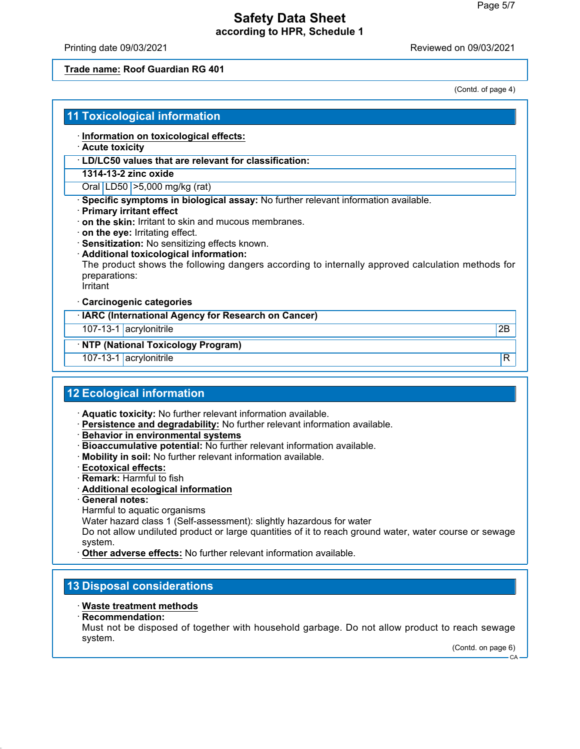Printing date 09/03/2021 Reviewed on 09/03/2021

### **Trade name: Roof Guardian RG 401**

(Contd. of page 4)

### **11 Toxicological information**

- ꞏ **Information on toxicological effects:**
- ꞏ **Acute toxicity**
- ꞏ **LD/LC50 values that are relevant for classification:**

#### **1314-13-2 zinc oxide**

Oral LD50 >5,000 mg/kg (rat)

- ꞏ **Specific symptoms in biological assay:** No further relevant information available.
- ꞏ **Primary irritant effect**
- ꞏ **on the skin:** Irritant to skin and mucous membranes.
- ꞏ **on the eye:** Irritating effect.
- ꞏ **Sensitization:** No sensitizing effects known.
- ꞏ **Additional toxicological information:**

The product shows the following dangers according to internally approved calculation methods for preparations:

**Irritant** 

#### ꞏ **Carcinogenic categories**

ꞏ **IARC (International Agency for Research on Cancer)**

107-13-1 acrylonitrile 2B

### ꞏ **NTP (National Toxicology Program)**

107-13-1 acrylonitrile R

### **12 Ecological information**

- ꞏ **Aquatic toxicity:** No further relevant information available.
- ꞏ **Persistence and degradability:** No further relevant information available.
- ꞏ **Behavior in environmental systems**
- ꞏ **Bioaccumulative potential:** No further relevant information available.
- ꞏ **Mobility in soil:** No further relevant information available.
- ꞏ **Ecotoxical effects:**
- ꞏ **Remark:** Harmful to fish
- ꞏ **Additional ecological information**
- ꞏ **General notes:**
- Harmful to aquatic organisms

Water hazard class 1 (Self-assessment): slightly hazardous for water

Do not allow undiluted product or large quantities of it to reach ground water, water course or sewage system.

Other adverse effects: No further relevant information available.

### **13 Disposal considerations**

#### ꞏ **Waste treatment methods**

ꞏ **Recommendation:**

Must not be disposed of together with household garbage. Do not allow product to reach sewage system.

(Contd. on page 6)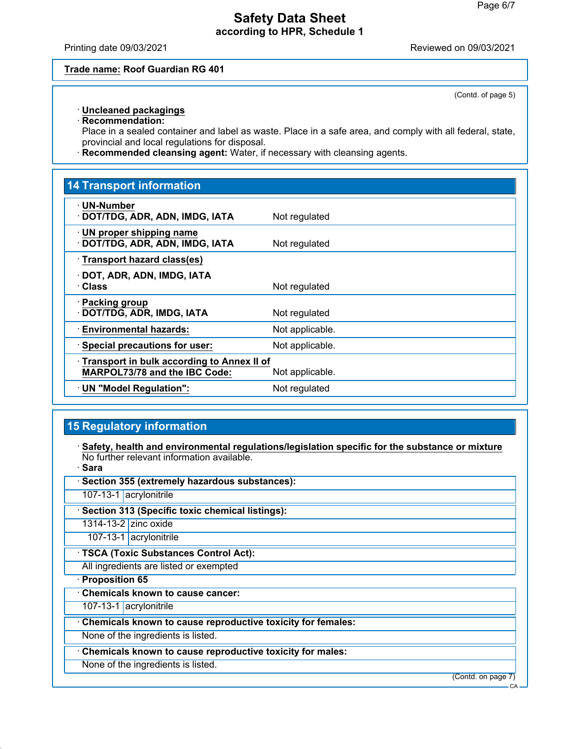Printing date 09/03/2021 Reviewed on 09/03/2021

#### **Trade name: Roof Guardian RG 401**

(Contd. of page 5)

### ꞏ **Uncleaned packagings**

ꞏ **Recommendation:**

Place in a sealed container and label as waste. Place in a safe area, and comply with all federal, state, provincial and local regulations for disposal.

ꞏ **Recommended cleansing agent:** Water, if necessary with cleansing agents.

# **14 Transport information** ꞏ **UN-Number · DOT/TDG, ADR, ADN, IMDG, IATA** Not regulated ꞏ **UN proper shipping name · DOT/TDG, ADR, ADN, IMDG, IATA** Not regulated ꞏ **Transport hazard class(es)** ꞏ **DOT, ADR, ADN, IMDG, IATA Not regulated** ꞏ **Packing group DOT/TDG, ADR, IMDG, IATA** Not regulated **Environmental hazards:** Not applicable. **Special precautions for user:** Not applicable. ꞏ **Transport in bulk according to Annex II of MARPOL73/78 and the IBC Code:** Not applicable. **UN "Model Regulation":** Not regulated

## **15 Regulatory information**

ꞏ **Safety, health and environmental regulations/legislation specific for the substance or mixture** No further relevant information available. ꞏ **Sara**

| vara                                                        |                    |
|-------------------------------------------------------------|--------------------|
| Section 355 (extremely hazardous substances):               |                    |
| 107-13-1 acrylonitrile                                      |                    |
| Section 313 (Specific toxic chemical listings):             |                    |
| 1314-13-2 zinc oxide                                        |                    |
| 107-13-1 acrylonitrile                                      |                    |
| · TSCA (Toxic Substances Control Act):                      |                    |
| All ingredients are listed or exempted                      |                    |
| · Proposition 65                                            |                    |
| <b>Chemicals known to cause cancer:</b>                     |                    |
| 107-13-1 acrylonitrile                                      |                    |
| Chemicals known to cause reproductive toxicity for females: |                    |
| None of the ingredients is listed.                          |                    |
| Chemicals known to cause reproductive toxicity for males:   |                    |
| None of the ingredients is listed.                          |                    |
|                                                             | (Contd. on page 7) |